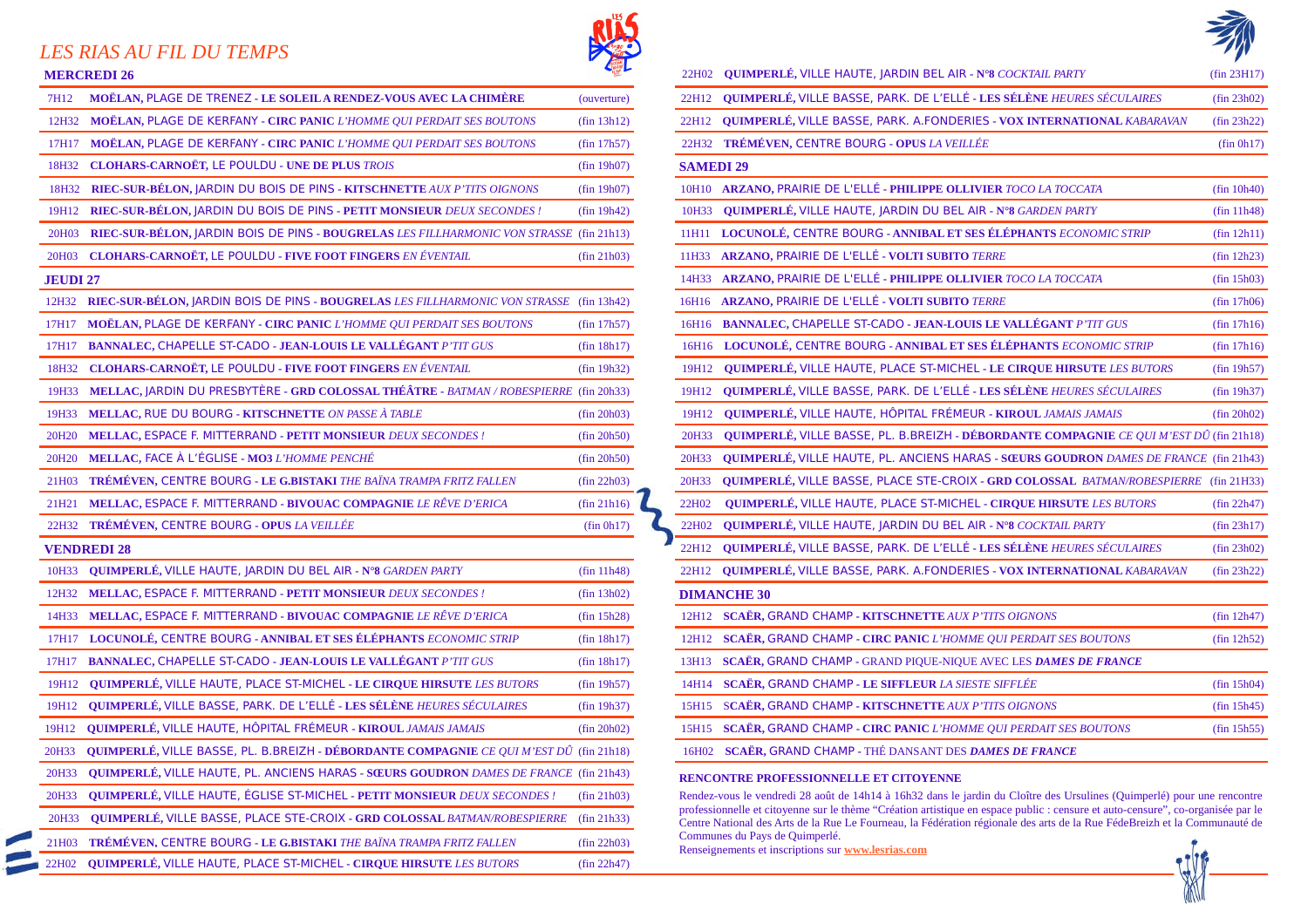## *LES RIAS AU FIL DU TEMPS*

 $\blacksquare$ 

| 7H <sub>12</sub>   | <b>MOËLAN, PLAGE DE TRENEZ - LE SOLEIL A RENDEZ-VOUS AVEC LA CHIMÈRE</b>                       | (ouverture)           |  |                                                                                                | 22H12 QUIMPERLÉ, VILLE BASSE, PARK. DE L'ELLÉ - LES SÉLÈNE HEURES SÉCULAI                                                                                                                                   |
|--------------------|------------------------------------------------------------------------------------------------|-----------------------|--|------------------------------------------------------------------------------------------------|-------------------------------------------------------------------------------------------------------------------------------------------------------------------------------------------------------------|
| 12H32              | <b>MOËLAN, PLAGE DE KERFANY - CIRC PANIC L'HOMME QUI PERDAIT SES BOUTONS</b>                   | (fin 13h12)           |  |                                                                                                | 22H12 QUIMPERLÉ, VILLE BASSE, PARK. A.FONDERIES - VOX INTERNATIONAL KAE                                                                                                                                     |
| 17H17              | MOËLAN, PLAGE DE KERFANY - CIRC PANIC L'HOMME QUI PERDAIT SES BOUTONS                          | (fin 17h57)           |  |                                                                                                | 22H32 TRÉMÉVEN, CENTRE BOURG - OPUS LA VEILLÉE                                                                                                                                                              |
| 18H32              | <b>CLOHARS-CARNOËT, LE POULDU - UNE DE PLUS TROIS</b>                                          | (fin 19h07)           |  | <b>SAMEDI 29</b>                                                                               |                                                                                                                                                                                                             |
| 18H32              | RIEC-SUR-BÉLON, JARDIN DU BOIS DE PINS - KITSCHNETTE AUX P'TITS OIGNONS                        | (fin 19h07)           |  |                                                                                                | 10H10 ARZANO, PRAIRIE DE L'ELLÉ - PHILIPPE OLLIVIER TOCO LA TOCCATA                                                                                                                                         |
| 19H12              | RIEC-SUR-BÉLON, JARDIN DU BOIS DE PINS - PETIT MONSIEUR DEUX SECONDES!                         | (fin 19h42)           |  | 10H33                                                                                          | <b>QUIMPERLÉ, VILLE HAUTE, JARDIN DU BEL AIR - N°8 GARDEN PARTY</b>                                                                                                                                         |
| 20H03              | RIEC-SUR-BÉLON, JARDIN BOIS DE PINS - BOUGRELAS LES FILLHARMONIC VON STRASSE (fin 21h13)       |                       |  |                                                                                                | 11H11 LOCUNOLÉ, CENTRE BOURG - ANNIBAL ET SES ÉLÉPHANTS ECONOMIC STRI                                                                                                                                       |
| 20H03              | <b>CLOHARS-CARNOËT, LE POULDU - FIVE FOOT FINGERS EN ÉVENTAIL</b>                              | $(\text{fin } 21h03)$ |  |                                                                                                | 11H33 ARZANO, PRAIRIE DE L'ELLÉ - VOLTI SUBITO TERRE                                                                                                                                                        |
| <b>JEUDI 27</b>    |                                                                                                |                       |  |                                                                                                | 14H33 ARZANO, PRAIRIE DE L'ELLÉ - PHILIPPE OLLIVIER TOCO LA TOCCATA                                                                                                                                         |
| 12H32              | RIEC-SUR-BÉLON, JARDIN BOIS DE PINS - BOUGRELAS LES FILLHARMONIC VON STRASSE (fin 13h42)       |                       |  |                                                                                                | 16H16 ARZANO, PRAIRIE DE L'ELLÉ - VOLTI SUBITO TERRE                                                                                                                                                        |
| 17H17              | <b>MOËLAN, PLAGE DE KERFANY - CIRC PANIC L'HOMME QUI PERDAIT SES BOUTONS</b>                   | (fin 17h57)           |  |                                                                                                | 16H16 BANNALEC, CHAPELLE ST-CADO - JEAN-LOUIS LE VALLÉGANT P'TIT GUS                                                                                                                                        |
| 17H17              | BANNALEC, CHAPELLE ST-CADO - JEAN-LOUIS LE VALLÉGANT P'TIT GUS                                 | (fin 18h17)           |  |                                                                                                | 16H16 LOCUNOLÉ, CENTRE BOURG - ANNIBAL ET SES ÉLÉPHANTS ECONOMIC STR.                                                                                                                                       |
| 18H32              | <b>CLOHARS-CARNOËT, LE POULDU - FIVE FOOT FINGERS EN ÉVENTAIL</b>                              | (fin 19h32)           |  | 19H12                                                                                          | QUIMPERLÉ, VILLE HAUTE, PLACE ST-MICHEL - LE CIRQUE HIRSUTE LES BU                                                                                                                                          |
| 19H33              | MELLAC, JARDIN DU PRESBYTÈRE - GRD COLOSSAL THÉÂTRE - BATMAN / ROBESPIERRE (fin 20h33)         |                       |  | 19H12                                                                                          | QUIMPERLÉ, VILLE BASSE, PARK. DE L'ELLÉ - LES SÉLÈNE HEURES SÉCULAI                                                                                                                                         |
| 19H33              | MELLAC, RUE DU BOURG - KITSCHNETTE ON PASSE À TABLE                                            | $(\text{fin } 20h03)$ |  | 19H12                                                                                          | QUIMPERLÉ, VILLE HAUTE, HÔPITAL FRÉMEUR - KIROUL JAMAIS JAMAIS                                                                                                                                              |
| 20H <sub>20</sub>  | MELLAC, ESPACE F. MITTERRAND - PETIT MONSIEUR DEUX SECONDES !                                  | (fin 20h50)           |  | 20H33                                                                                          | QUIMPERLÉ, VILLE BASSE, PL. B.BREIZH - DÉBORDANTE COMPAGNIE CE Q                                                                                                                                            |
| 20H <sub>20</sub>  | MELLAC, FACE À L'ÉGLISE - MO3 L'HOMME PENCHÉ                                                   | (fin 20h50)           |  | 20H33                                                                                          | <b>QUIMPERLÉ, VILLE HAUTE, PL. ANCIENS HARAS - SŒURS GOUDRON DAMES</b>                                                                                                                                      |
| 21H03              | <b>TRÉMÉVEN, CENTRE BOURG - LE G.BISTAKI THE BAÏNA TRAMPA FRITZ FALLEN</b>                     | $(\text{fin } 22h03)$ |  | 20H33                                                                                          | QUIMPERLÉ, VILLE BASSE, PLACE STE-CROIX - GRD COLOSSAL BATMAN/RO                                                                                                                                            |
| 21H21              | MELLAC, ESPACE F. MITTERRAND - BIVOUAC COMPAGNIE LE RÊVE D'ERICA                               | (fin 21h16)           |  | 22H02                                                                                          | QUIMPERLÉ, VILLE HAUTE, PLACE ST-MICHEL - CIRQUE HIRSUTE LES BUTO                                                                                                                                           |
| 22H32              | <b>TRÉMÉVEN, CENTRE BOURG - OPUS LA VEILLÉE</b>                                                | (fin 0h17)            |  | 22H02                                                                                          | QUIMPERLÉ, VILLE HAUTE, JARDIN DU BEL AIR - N°8 COCKTAIL PARTY                                                                                                                                              |
| <b>VENDREDI 28</b> |                                                                                                |                       |  |                                                                                                | 22H12 QUIMPERLÉ, VILLE BASSE, PARK. DE L'ELLÉ - LES SÉLÈNE HEURES SÉCULAI                                                                                                                                   |
| 10H33              | <b>QUIMPERLÉ, VILLE HAUTE, JARDIN DU BEL AIR - N°8 GARDEN PARTY</b>                            | (fin 11h48)           |  |                                                                                                | 22H12 QUIMPERLÉ, VILLE BASSE, PARK. A.FONDERIES - VOX INTERNATIONAL KAE                                                                                                                                     |
| 12H32              | <b>MELLAC, ESPACE F. MITTERRAND - PETIT MONSIEUR DEUX SECONDES!</b>                            | (fin 13h02)           |  |                                                                                                | <b>DIMANCHE 30</b>                                                                                                                                                                                          |
| 14H33              | MELLAC, ESPACE F. MITTERRAND - BIVOUAC COMPAGNIE LE RÊVE D'ERICA                               | (fin 15h28)           |  |                                                                                                | 12H12 SCAËR, GRAND CHAMP - KITSCHNETTE AUX P'TITS OIGNONS                                                                                                                                                   |
| 17H17              | LOCUNOLÉ, CENTRE BOURG - ANNIBAL ET SES ÉLÉPHANTS ECONOMIC STRIP                               | (fin 18h17)           |  |                                                                                                | 12H12 SCAËR, GRAND CHAMP - CIRC PANIC L'HOMME QUI PERDAIT SES BOUTONS                                                                                                                                       |
| 17H17              | BANNALEC, CHAPELLE ST-CADO - JEAN-LOUIS LE VALLÉGANT P'TIT GUS                                 | (fin 18h17)           |  |                                                                                                | 13H13 SCAËR, GRAND CHAMP - GRAND PIQUE-NIQUE AVEC LES DAMES DE FRANCE                                                                                                                                       |
| 19H12              | <b>QUIMPERLÉ, VILLE HAUTE, PLACE ST-MICHEL - LE CIRQUE HIRSUTE LES BUTORS</b>                  | (fin 19h57)           |  |                                                                                                | 14H14 SCAËR, GRAND CHAMP - LE SIFFLEUR LA SIESTE SIFFLÉE                                                                                                                                                    |
| 19H12              | QUIMPERLÉ, VILLE BASSE, PARK. DE L'ELLÉ - LES SÉLÈNE HEURES SÉCULAIRES                         | (fin 19h37)           |  |                                                                                                | 15H15 SCAËR, GRAND CHAMP - KITSCHNETTE AUX P'TITS OIGNONS                                                                                                                                                   |
| 19H12              | <b>QUIMPERLÉ, VILLE HAUTE, HÔPITAL FRÉMEUR - KIROUL JAMAIS JAMAIS</b>                          | (fin 20h02)           |  |                                                                                                | 15H15 SCAËR, GRAND CHAMP - CIRC PANIC L'HOMME QUI PERDAIT SES BOUTONS                                                                                                                                       |
| 20H33              | <b>QUIMPERLÉ, VILLE BASSE, PL. B.BREIZH - DÉBORDANTE COMPAGNIE CE QUI M'EST DÛ</b> (fin 21h18) |                       |  | 16H02                                                                                          | <b>SCAËR, GRAND CHAMP - THÉ DANSANT DES DAMES DE FRANCE</b>                                                                                                                                                 |
| 20H33              | <b>QUIMPERLÉ, VILLE HAUTE, PL. ANCIENS HARAS - SŒURS GOUDRON DAMES DE FRANCE (fin 21h43)</b>   |                       |  |                                                                                                | RENCONTRE PROFESSIONNELLE ET CITOYENNE                                                                                                                                                                      |
| 20H33              | <b>QUIMPERLÉ, VILLE HAUTE, ÉGLISE ST-MICHEL - PETIT MONSIEUR DEUX SECONDES!</b>                | $(\text{fin } 21h03)$ |  | Rendez-vous le vendredi 28 août de 14h14 à 16h32 dans le jardin du Cloître des Ursulines (Quim |                                                                                                                                                                                                             |
| 20H33              | <b>QUIMPERLÉ, VILLE BASSE, PLACE STE-CROIX - GRD COLOSSAL BATMAN/ROBESPIERRE</b>               | $(\text{fin } 21h33)$ |  |                                                                                                | professionnelle et citoyenne sur le thème "Création artistique en espace public : censure et auto-cen<br>Centre National des Arts de la Rue Le Fourneau, la Fédération régionale des arts de la Rue FédeBre |
| 21H03              | <b>TRÉMÉVEN, CENTRE BOURG - LE G,BISTAKI THE BAÏNA TRAMPA FRITZ FALLEN</b>                     | (fin 22h03)           |  |                                                                                                | Communes du Pays de Quimperlé.<br>Renseignements et inscriptions sur www.lesrias.com                                                                                                                        |
| 22H02              | QUIMPERLÉ, VILLE HAUTE, PLACE ST-MICHEL - CIRQUE HIRSUTE LES BUTORS                            | (fin 22h47)           |  |                                                                                                |                                                                                                                                                                                                             |
|                    |                                                                                                |                       |  |                                                                                                |                                                                                                                                                                                                             |





| <b>MERCREDI 26</b>                                                                                |                       |                  | 22H02 QUIMPERLÉ, VILLE HAUTE, JARDIN BEL AIR - N°8 COCKTAIL PARTY                             | (fin 23H17)           |
|---------------------------------------------------------------------------------------------------|-----------------------|------------------|-----------------------------------------------------------------------------------------------|-----------------------|
| MOËLAN, PLAGE DE TRENEZ - LE SOLEIL A RENDEZ-VOUS AVEC LA CHIMÈRE<br>7H <sub>12</sub>             | (ouverture)           |                  | 22H12 QUIMPERLÉ, VILLE BASSE, PARK. DE L'ELLÉ - LES SÉLÈNE HEURES SÉCULAIRES                  | (fin 23h02)           |
| <b>MOËLAN, PLAGE DE KERFANY - CIRC PANIC L'HOMME QUI PERDAIT SES BOUTONS</b><br>12H32             | (fin 13h12)           |                  | 22H12 OUIMPERLÉ, VILLE BASSE, PARK. A.FONDERIES - VOX INTERNATIONAL KABARAVAN                 | (fin 23h22)           |
| <b>MOËLAN, PLAGE DE KERFANY - CIRC PANIC L'HOMME QUI PERDAIT SES BOUTONS</b><br>17H17             | (fin 17h57)           |                  | 22H32 TRÉMÉVEN, CENTRE BOURG - OPUS LA VEILLÉE                                                | (fin 0h17)            |
| <b>CLOHARS-CARNOËT, LE POULDU - UNE DE PLUS TROIS</b><br>18H32                                    | (fin 19h07)           | <b>SAMEDI 29</b> |                                                                                               |                       |
| <b>RIEC-SUR-BÉLON, JARDIN DU BOIS DE PINS - KITSCHNETTE AUX P'TITS OIGNONS</b><br>18H32           | (fin 19h07)           |                  | 10H10 ARZANO, PRAIRIE DE L'ELLÉ - PHILIPPE OLLIVIER TOCO LA TOCCATA                           | (fin 10h40)           |
| RIEC-SUR-BÉLON, JARDIN DU BOIS DE PINS - PETIT MONSIEUR DEUX SECONDES !<br>19H12                  | (fin 19h42)           |                  | 10H33 QUIMPERLÉ, VILLE HAUTE, JARDIN DU BEL AIR - N°8 GARDEN PARTY                            | (fin 11h48)           |
| RIEC-SUR-BÉLON, JARDIN BOIS DE PINS - BOUGRELAS LES FILLHARMONIC VON STRASSE (fin 21h13)<br>20H03 |                       |                  | 11H11 LOCUNOLÉ, CENTRE BOURG - ANNIBAL ET SES ÉLÉPHANTS ECONOMIC STRIP                        | (fin 12h11)           |
| <b>CLOHARS-CARNOËT, LE POULDU - FIVE FOOT FINGERS EN ÉVENTAIL</b><br>20H03                        | (fin 21h03)           |                  | 11H33 ARZANO, PRAIRIE DE L'ELLÉ - VOLTI SUBITO TERRE                                          | (fin 12h23)           |
| <b>JEUDI 27</b>                                                                                   |                       |                  | 14H33 ARZANO, PRAIRIE DE L'ELLÉ - PHILIPPE OLLIVIER TOCO LA TOCCATA                           | $(\text{fin } 15h03)$ |
| RIEC-SUR-BÉLON, JARDIN BOIS DE PINS - BOUGRELAS LES FILLHARMONIC VON STRASSE (fin 13h42)<br>12H32 |                       |                  | 16H16 ARZANO, PRAIRIE DE L'ELLÉ - VOLTI SUBITO TERRE                                          | (fin 17h06)           |
| <b>MOËLAN, PLAGE DE KERFANY - CIRC PANIC L'HOMME QUI PERDAIT SES BOUTONS</b><br>17H17             | $(\text{fin } 17h57)$ |                  | 16H16 BANNALEC, CHAPELLE ST-CADO - JEAN-LOUIS LE VALLÉGANT P'TIT GUS                          | $(\text{fin } 17h16)$ |
| <b>BANNALEC, CHAPELLE ST-CADO - JEAN-LOUIS LE VALLÉGANT P'TIT GUS</b><br>17H17                    | (fin 18h17)           |                  | 16H16 LOCUNOLÉ, CENTRE BOURG - ANNIBAL ET SES ÉLÉPHANTS ECONOMIC STRIP                        | (fin 17h16)           |
| <b>CLOHARS-CARNOËT, LE POULDU - FIVE FOOT FINGERS EN ÉVENTAIL</b><br>18H32                        | (fin 19h32)           |                  | 19H12 QUIMPERLÉ, VILLE HAUTE, PLACE ST-MICHEL - LE CIRQUE HIRSUTE LES BUTORS                  | (fin 19h57)           |
| MELLAC, JARDIN DU PRESBYTÈRE - GRD COLOSSAL THÉÂTRE - BATMAN / ROBESPIERRE (fin 20h33)<br>19H33   |                       |                  | 19H12 QUIMPERLÉ, VILLE BASSE, PARK. DE L'ELLÉ - LES SÉLÈNE HEURES SÉCULAIRES                  | (fin 19h37)           |
| MELLAC, RUE DU BOURG - KITSCHNETTE ON PASSE À TABLE<br>19H33                                      | (fin 20h03)           |                  | 19H12 QUIMPERLÉ, VILLE HAUTE, HÔPITAL FRÉMEUR - KIROUL JAMAIS JAMAIS                          | (fin 20h02)           |
| <b>MELLAC, ESPACE F. MITTERRAND - PETIT MONSIEUR DEUX SECONDES!</b><br>20H20                      | (fin 20h50)           |                  | 20H33 QUIMPERLÉ, VILLE BASSE, PL. B.BREIZH - DÉBORDANTE COMPAGNIE CE QUI M'EST DÛ (fin 21h18) |                       |
| MELLAC, FACE À L'ÉGLISE - MO3 L'HOMME PENCHÉ<br>20H <sub>20</sub>                                 | (fin 20h50)           | 20H33            | <b>QUIMPERLÉ, VILLE HAUTE, PL. ANCIENS HARAS - SŒURS GOUDRON DAMES DE FRANCE (fin 21h43)</b>  |                       |
| <b>TRÉMÉVEN, CENTRE BOURG - LE G.BISTAKI THE BAÏNA TRAMPA FRITZ FALLEN</b><br>21H03               | $(\text{fin } 22h03)$ | 20H33            | <b>QUIMPERLÉ, VILLE BASSE, PLACE STE-CROIX - GRD COLOSSAL BATMAN/ROBESPIERRE</b> (fin 21H33)  |                       |
| MELLAC, ESPACE F. MITTERRAND - BIVOUAC COMPAGNIE LE RÊVE D'ERICA<br>21H21                         | (fin 21h16)           | 22H02            | QUIMPERLÉ, VILLE HAUTE, PLACE ST-MICHEL - CIRQUE HIRSUTE LES BUTORS                           | (fin 22h47)           |
| 22H32 TRÉMÉVEN, CENTRE BOURG - OPUS LA VEILLÉE                                                    | (fin 0h17)            | 22H02            | QUIMPERLÉ, VILLE HAUTE, JARDIN DU BEL AIR - N°8 COCKTAIL PARTY                                | $(\text{fin } 23h17)$ |
| <b>VENDREDI 28</b>                                                                                |                       |                  | 22H12 QUIMPERLÉ, VILLE BASSE, PARK. DE L'ELLÉ - LES SÉLÈNE HEURES SÉCULAIRES                  | (fin 23h02)           |
| QUIMPERLÉ, VILLE HAUTE, JARDIN DU BEL AIR - N°8 GARDEN PARTY<br>10H33                             | (fin 11h48)           |                  | 22H12 QUIMPERLÉ, VILLE BASSE, PARK. A.FONDERIES - VOX INTERNATIONAL KABARAVAN                 | (fin 23h22)           |
| <b>MELLAC, ESPACE F. MITTERRAND - PETIT MONSIEUR DEUX SECONDES!</b><br>12H32                      | $(\text{fin } 13h02)$ |                  | <b>DIMANCHE 30</b>                                                                            |                       |
| MELLAC, ESPACE F. MITTERRAND - BIVOUAC COMPAGNIE LE RÊVE D'ERICA<br>14H33                         | (fin 15h28)           |                  | 12H12 SCAËR, GRAND CHAMP - KITSCHNETTE AUX P'TITS OIGNONS                                     | (fin 12h47)           |
| 17H17 LOCUNOLÉ, CENTRE BOURG - ANNIBAL ET SES ÉLÉPHANTS ECONOMIC STRIP                            | $(\text{fin } 18h17)$ |                  | 12H12 SCAËR, GRAND CHAMP - CIRC PANIC L'HOMME QUI PERDAIT SES BOUTONS                         | (fin 12h52)           |
| <b>BANNALEC, CHAPELLE ST-CADO - JEAN-LOUIS LE VALLÉGANT P'TIT GUS</b><br>17H17                    | (fin 18h17)           |                  | 13H13 SCAËR, GRAND CHAMP - GRAND PIQUE-NIQUE AVEC LES DAMES DE FRANCE                         |                       |
| QUIMPERLÉ, VILLE HAUTE, PLACE ST-MICHEL - LE CIRQUE HIRSUTE LES BUTORS<br>19H12                   | (fin 19h57)           |                  | 14H14 SCAËR, GRAND CHAMP - LE SIFFLEUR LA SIESTE SIFFLÉE                                      | (fin 15h04)           |
| <b>OUIMPERLÉ, VILLE BASSE, PARK. DE L'ELLÉ - LES SÉLÈNE HEURES SÉCULAIRES</b><br>19H12            | (fin 19h37)           |                  | 15H15 SCAËR, GRAND CHAMP - KITSCHNETTE AUX P'TITS OIGNONS                                     | (fin 15h45)           |
| QUIMPERLÉ, VILLE HAUTE, HÔPITAL FRÉMEUR - KIROUL JAMAIS JAMAIS<br>19H12                           | (fin 20h02)           |                  | 15H15 SCAËR, GRAND CHAMP - CIRC PANIC L'HOMME QUI PERDAIT SES BOUTONS                         | (fin 15h55)           |
| QUIMPERLÉ, VILLE BASSE, PL. B.BREIZH - DÉBORDANTE COMPAGNIE CE QUI M'EST DÛ (fin 21h18)<br>20H33  |                       |                  | 16H02 SCAËR, GRAND CHAMP - THÉ DANSANT DES DAMES DE FRANCE                                    |                       |
|                                                                                                   |                       |                  |                                                                                               |                       |

## **PH33 RENCONTRE PROFESSIONNELLE ET CITOYENNE**

Rendez-vous le vendredi 28 août de 14h14 à 16h32 dans le jardin du Cloître des Ursulines (Quimperlé) pour une rencontre professionnelle et citoyenne sur le thème "Création artistique en espace public : censure et auto-censure", co-organisée par le Centre National des Arts de la Rue Le Fourneau, la Fédération régionale des arts de la Rue FédeBreizh et la Communauté de Communes du Pays de Quimperlé.